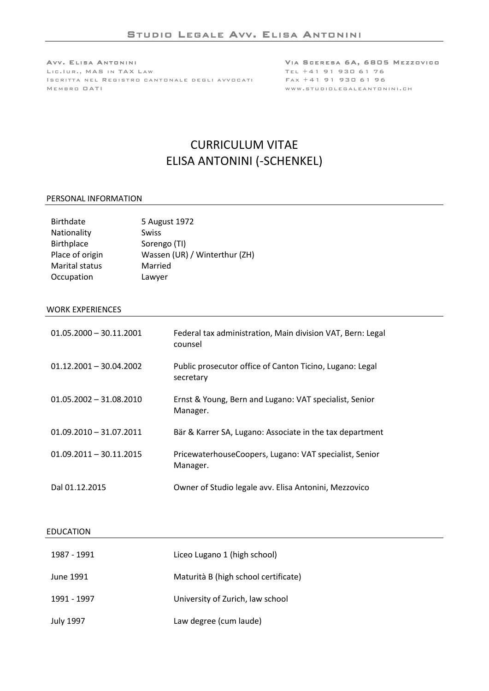AVV. ELISA ANTONINI NA INTERNATIONAL SERESA 6A, 6805 MEZZOVICO LIC.IUR., MAS IN TAX LAW **TEL +41 91 930 61 76** I SCRITTA NEL REGISTRO CANTONALE DEGLI AVVOCATI FAX +41 91 930 61 96 MEM B R O OAT I WWW.STUDIOLEGALEANTONINI.CH

# CURRICULUM VITAE ELISA ANTONINI (-SCHENKEL)

#### PERSONAL INFORMATION

| <b>Birthdate</b>  | 5 August 1972                 |
|-------------------|-------------------------------|
| Nationality       | <b>Swiss</b>                  |
| <b>Birthplace</b> | Sorengo (TI)                  |
| Place of origin   | Wassen (UR) / Winterthur (ZH) |
| Marital status    | Married                       |
| Occupation        | Lawyer                        |

## WORK EXPERIENCES

| $01.05.2000 - 30.11.2001$ | Federal tax administration, Main division VAT, Bern: Legal<br>counsel |
|---------------------------|-----------------------------------------------------------------------|
| $01.12.2001 - 30.04.2002$ | Public prosecutor office of Canton Ticino, Lugano: Legal<br>secretary |
| $01.05.2002 - 31.08.2010$ | Ernst & Young, Bern and Lugano: VAT specialist, Senior<br>Manager.    |
| $01.09.2010 - 31.07.2011$ | Bär & Karrer SA, Lugano: Associate in the tax department              |
| $01.09.2011 - 30.11.2015$ | PricewaterhouseCoopers, Lugano: VAT specialist, Senior<br>Manager.    |
| Dal 01.12.2015            | Owner of Studio legale avv. Elisa Antonini, Mezzovico                 |

#### EDUCATION

| 1987 - 1991      | Liceo Lugano 1 (high school)         |
|------------------|--------------------------------------|
| June 1991        | Maturità B (high school certificate) |
| 1991 - 1997      | University of Zurich, law school     |
| <b>July 1997</b> | Law degree (cum laude)               |